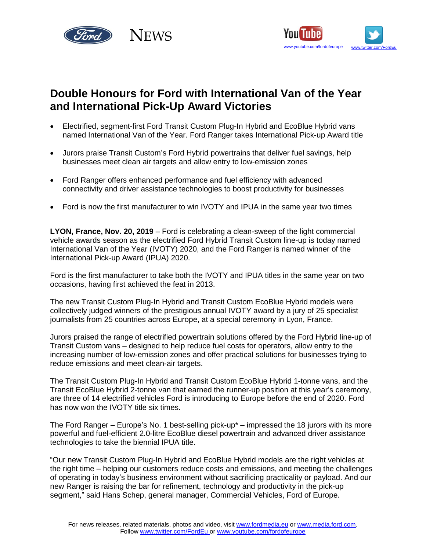



# **Double Honours for Ford with International Van of the Year and International Pick-Up Award Victories**

- Electrified, segment-first Ford Transit Custom Plug-In Hybrid and EcoBlue Hybrid vans named International Van of the Year. Ford Ranger takes International Pick-up Award title
- Jurors praise Transit Custom's Ford Hybrid powertrains that deliver fuel savings, help businesses meet clean air targets and allow entry to low-emission zones
- Ford Ranger offers enhanced performance and fuel efficiency with advanced connectivity and driver assistance technologies to boost productivity for businesses
- Ford is now the first manufacturer to win IVOTY and IPUA in the same year two times

**LYON, France, Nov. 20, 2019** – Ford is celebrating a clean-sweep of the light commercial vehicle awards season as the electrified Ford Hybrid Transit Custom line-up is today named International Van of the Year (IVOTY) 2020, and the Ford Ranger is named winner of the International Pick-up Award (IPUA) 2020.

Ford is the first manufacturer to take both the IVOTY and IPUA titles in the same year on two occasions, having first achieved the feat in 2013.

The new Transit Custom Plug-In Hybrid and Transit Custom EcoBlue Hybrid models were collectively judged winners of the prestigious annual IVOTY award by a jury of 25 specialist journalists from 25 countries across Europe, at a special ceremony in Lyon, France.

Jurors praised the range of electrified powertrain solutions offered by the Ford Hybrid line-up of Transit Custom vans – designed to help reduce fuel costs for operators, allow entry to the increasing number of low-emission zones and offer practical solutions for businesses trying to reduce emissions and meet clean-air targets.

The Transit Custom Plug-In Hybrid and Transit Custom EcoBlue Hybrid 1-tonne vans, and the Transit EcoBlue Hybrid 2-tonne van that earned the runner-up position at this year's ceremony, are three of 14 electrified vehicles Ford is introducing to Europe before the end of 2020. Ford has now won the IVOTY title six times.

The Ford Ranger – Europe's No. 1 best-selling pick-up\* – impressed the 18 jurors with its more powerful and fuel-efficient 2.0-litre EcoBlue diesel powertrain and advanced driver assistance technologies to take the biennial IPUA title.

"Our new Transit Custom Plug-In Hybrid and EcoBlue Hybrid models are the right vehicles at the right time – helping our customers reduce costs and emissions, and meeting the challenges of operating in today's business environment without sacrificing practicality or payload. And our new Ranger is raising the bar for refinement, technology and productivity in the pick-up segment," said Hans Schep, general manager, Commercial Vehicles, Ford of Europe.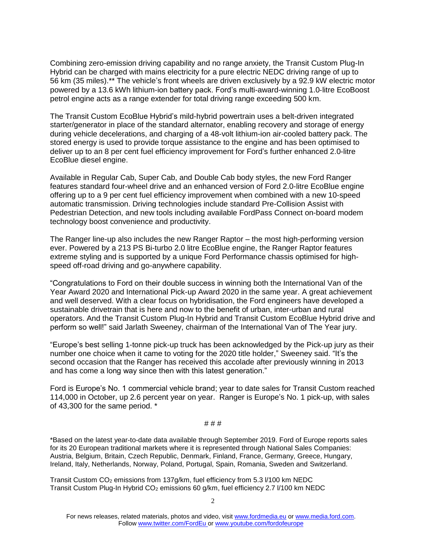Combining zero-emission driving capability and no range anxiety, the Transit Custom Plug-In Hybrid can be charged with mains electricity for a pure electric NEDC driving range of up to 56 km (35 miles).\*\* The vehicle's front wheels are driven exclusively by a 92.9 kW electric motor powered by a 13.6 kWh lithium-ion battery pack. Ford's multi-award-winning 1.0‑litre EcoBoost petrol engine acts as a range extender for total driving range exceeding 500 km.

The Transit Custom EcoBlue Hybrid's mild-hybrid powertrain uses a belt-driven integrated starter/generator in place of the standard alternator, enabling recovery and storage of energy during vehicle decelerations, and charging of a 48-volt lithium-ion air-cooled battery pack. The stored energy is used to provide torque assistance to the engine and has been optimised to deliver up to an 8 per cent fuel efficiency improvement for Ford's further enhanced 2.0-litre EcoBlue diesel engine.

Available in Regular Cab, Super Cab, and Double Cab body styles, the new Ford Ranger features standard four-wheel drive and an enhanced version of Ford 2.0-litre EcoBlue engine offering up to a 9 per cent fuel efficiency improvement when combined with a new 10-speed automatic transmission. Driving technologies include standard Pre-Collision Assist with Pedestrian Detection, and new tools including available FordPass Connect on-board modem technology boost convenience and productivity.

The Ranger line-up also includes the new Ranger Raptor – the most high-performing version ever. Powered by a 213 PS Bi-turbo 2.0 litre EcoBlue engine, the Ranger Raptor features extreme styling and is supported by a unique Ford Performance chassis optimised for highspeed off-road driving and go-anywhere capability.

"Congratulations to Ford on their double success in winning both the International Van of the Year Award 2020 and International Pick-up Award 2020 in the same year. A great achievement and well deserved. With a clear focus on hybridisation, the Ford engineers have developed a sustainable drivetrain that is here and now to the benefit of urban, inter-urban and rural operators. And the Transit Custom Plug-In Hybrid and Transit Custom EcoBlue Hybrid drive and perform so well!" said Jarlath Sweeney, chairman of the International Van of The Year jury.

"Europe's best selling 1-tonne pick-up truck has been acknowledged by the Pick-up jury as their number one choice when it came to voting for the 2020 title holder," Sweeney said. "It's the second occasion that the Ranger has received this accolade after previously winning in 2013 and has come a long way since then with this latest generation."

Ford is Europe's No. 1 commercial vehicle brand; year to date sales for Transit Custom reached 114,000 in October, up 2.6 percent year on year. Ranger is Europe's No. 1 pick-up, with sales of 43,300 for the same period. \*

### # # #

\*Based on the latest year-to-date data available through September 2019. Ford of Europe reports sales for its 20 European traditional markets where it is represented through National Sales Companies: Austria, Belgium, Britain, Czech Republic, Denmark, Finland, France, Germany, Greece, Hungary, Ireland, Italy, Netherlands, Norway, Poland, Portugal, Spain, Romania, Sweden and Switzerland.

Transit Custom CO<sup>2</sup> emissions from 137g/km, fuel efficiency from 5.3 l/100 km NEDC Transit Custom Plug-In Hybrid CO<sub>2</sub> emissions 60 g/km, fuel efficiency 2.7 l/100 km NEDC